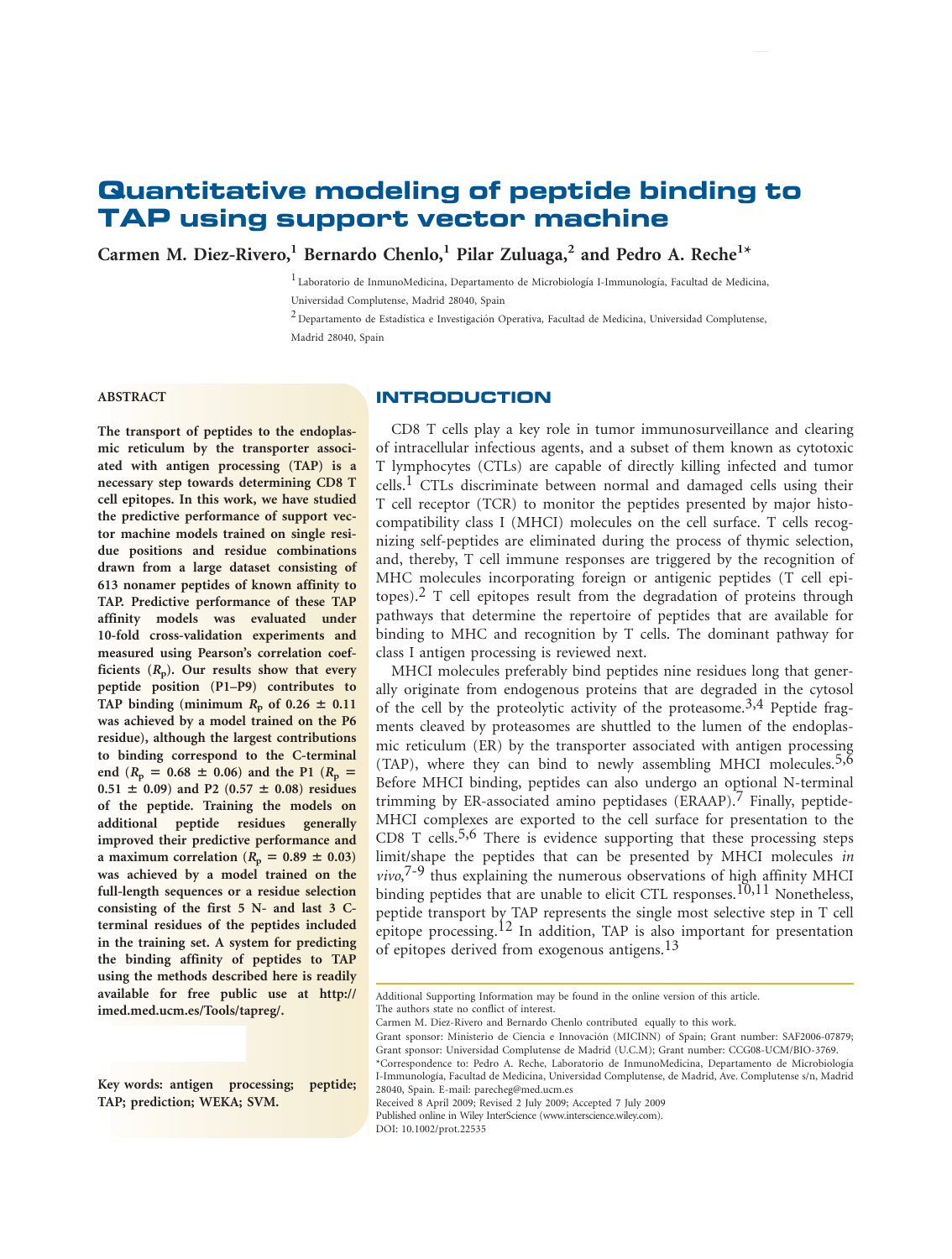# Quantitative modeling of peptide binding to TAP using support vector machine

Carmen M. Diez-Rivero,<sup>1</sup> Bernardo Chenlo,<sup>1</sup> Pilar Zuluaga,<sup>2</sup> and Pedro A. Reche<sup>1\*</sup>

<sup>1</sup> Laboratorio de InmunoMedicina, Departamento de Microbiología I-Immunología, Facultad de Medicina, Universidad Complutense, Madrid 28040, Spain

 $2$  Departamento de Estadística e Investigación Operativa, Facultad de Medicina, Universidad Complutense, Madrid 28040, Spain

# ABSTRACT

# INTRODUCTION

The transport of peptides to the endoplasmic reticulum by the transporter associated with antigen processing (TAP) is a necessary step towards determining CD8 T cell epitopes. In this work, we have studied the predictive performance of support vector machine models trained on single residue positions and residue combinations drawn from a large dataset consisting of 613 nonamer peptides of known affinity to TAP. Predictive performance of these TAP affinity models was evaluated under 10-fold cross-validation experiments and measured using Pearson's correlation coefficients  $(R_p)$ . Our results show that every peptide position (P1–P9) contributes to TAP binding (minimum  $R_p$  of 0.26  $\pm$  0.11 was achieved by a model trained on the P6 residue), although the largest contributions to binding correspond to the C-terminal end  $(R_p = 0.68 \pm 0.06)$  and the P1  $(R_p = 0.68 \pm 0.06)$  $0.51 \pm 0.09$ ) and P2 (0.57  $\pm$  0.08) residues of the peptide. Training the models on additional peptide residues generally improved their predictive performance and a maximum correlation ( $R_p = 0.89 \pm 0.03$ ) was achieved by a model trained on the full-length sequences or a residue selection consisting of the first 5 N- and last 3 Cterminal residues of the peptides included in the training set. A system for predicting the binding affinity of peptides to TAP using the methods described here is readily available for free public use at http:// imed.med.ucm.es/Tools/tapreg/.

Key words: antigen processing; peptide; TAP; prediction; WEKA; SVM.

CD8 T cells play a key role in tumor immunosurveillance and clearing of intracellular infectious agents, and a subset of them known as cytotoxic T lymphocytes (CTLs) are capable of directly killing infected and tumor  $cells.$ <sup>1</sup> CTLs discriminate between normal and damaged cells using their T cell receptor (TCR) to monitor the peptides presented by major histocompatibility class I (MHCI) molecules on the cell surface. T cells recognizing self-peptides are eliminated during the process of thymic selection, and, thereby, T cell immune responses are triggered by the recognition of MHC molecules incorporating foreign or antigenic peptides (T cell epitopes).<sup>2</sup> T cell epitopes result from the degradation of proteins through pathways that determine the repertoire of peptides that are available for binding to MHC and recognition by T cells. The dominant pathway for class I antigen processing is reviewed next.

MHCI molecules preferably bind peptides nine residues long that generally originate from endogenous proteins that are degraded in the cytosol of the cell by the proteolytic activity of the proteasome.<sup>3,4</sup> Peptide fragments cleaved by proteasomes are shuttled to the lumen of the endoplasmic reticulum (ER) by the transporter associated with antigen processing (TAP), where they can bind to newly assembling MHCI molecules.<sup>5,6</sup> Before MHCI binding, peptides can also undergo an optional N-terminal trimming by ER-associated amino peptidases  $(ERAAP)$ . Finally, peptide-MHCI complexes are exported to the cell surface for presentation to the CD8 T cells.<sup>5,6</sup> There is evidence supporting that these processing steps limit/shape the peptides that can be presented by MHCI molecules in vivo,<sup>7-9</sup> thus explaining the numerous observations of high affinity MHCI binding peptides that are unable to elicit CTL responses.<sup>10,11</sup> Nonetheless, peptide transport by TAP represents the single most selective step in T cell epitope processing.12 In addition, TAP is also important for presentation of epitopes derived from exogenous antigens.13

Additional Supporting Information may be found in the online version of this article. The authors state no conflict of interest.

Carmen M. Diez-Rivero and Bernardo Chenlo contributed equally to this work.

Received 8 April 2009; Revised 2 July 2009; Accepted 7 July 2009 Published online in Wiley InterScience (www.interscience.wiley.com). DOI: 10.1002/prot.22535

Grant sponsor: Ministerio de Ciencia e Innovación (MICINN) of Spain; Grant number: SAF2006-07879; Grant sponsor: Universidad Complutense de Madrid (U.C.M); Grant number: CCG08-UCM/BIO-3769. \*Correspondence to: Pedro A. Reche, Laboratorio de InmunoMedicina, Departamento de Microbiologı´a I-Immunologı´a, Facultad de Medicina, Universidad Complutense, de Madrid, Ave. Complutense s/n, Madrid 28040, Spain. E-mail: parecheg@med.ucm.es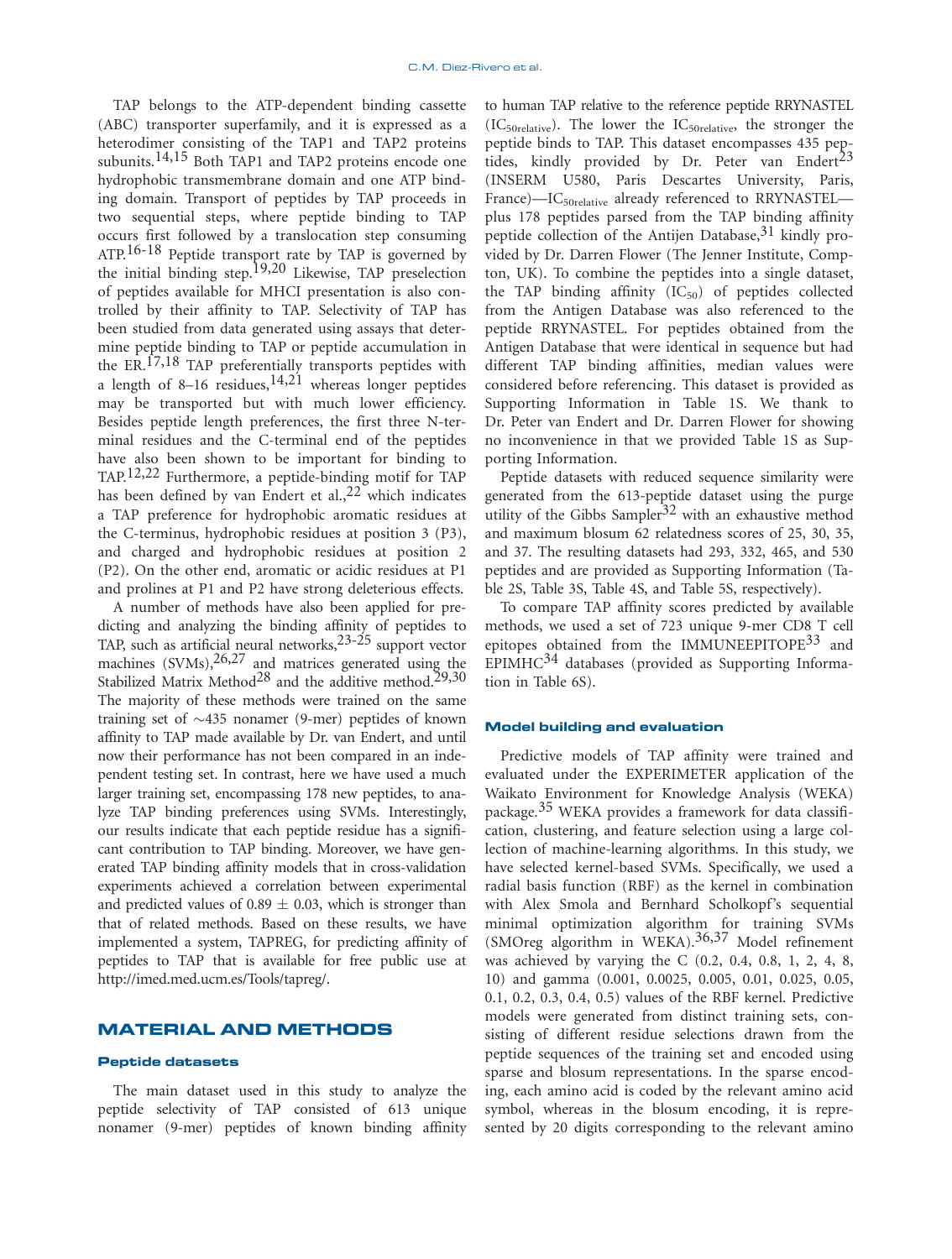TAP belongs to the ATP-dependent binding cassette (ABC) transporter superfamily, and it is expressed as a heterodimer consisting of the TAP1 and TAP2 proteins subunits.<sup>14,15</sup> Both TAP1 and TAP2 proteins encode one hydrophobic transmembrane domain and one ATP binding domain. Transport of peptides by TAP proceeds in two sequential steps, where peptide binding to TAP occurs first followed by a translocation step consuming ATP.<sup>16-18</sup> Peptide transport rate by TAP is governed by the initial binding step.19,20 Likewise, TAP preselection of peptides available for MHCI presentation is also controlled by their affinity to TAP. Selectivity of TAP has been studied from data generated using assays that determine peptide binding to TAP or peptide accumulation in the ER.<sup>17,18</sup> TAP preferentially transports peptides with a length of 8–16 residues,  $14,21$  whereas longer peptides may be transported but with much lower efficiency. Besides peptide length preferences, the first three N-terminal residues and the C-terminal end of the peptides have also been shown to be important for binding to TAP.12,22 Furthermore, a peptide-binding motif for TAP has been defined by van Endert et al.,  $22$  which indicates a TAP preference for hydrophobic aromatic residues at the C-terminus, hydrophobic residues at position 3 (P3), and charged and hydrophobic residues at position 2 (P2). On the other end, aromatic or acidic residues at P1 and prolines at P1 and P2 have strong deleterious effects.

A number of methods have also been applied for predicting and analyzing the binding affinity of peptides to TAP, such as artificial neural networks,23-25 support vector machines  $(SVMs)$ ,  $^{26,27}$  and matrices generated using the Stabilized Matrix Method<sup>28</sup> and the additive method.<sup>29,30</sup> The majority of these methods were trained on the same training set of  $\sim$ 435 nonamer (9-mer) peptides of known affinity to TAP made available by Dr. van Endert, and until now their performance has not been compared in an independent testing set. In contrast, here we have used a much larger training set, encompassing 178 new peptides, to analyze TAP binding preferences using SVMs. Interestingly, our results indicate that each peptide residue has a significant contribution to TAP binding. Moreover, we have generated TAP binding affinity models that in cross-validation experiments achieved a correlation between experimental and predicted values of  $0.89 \pm 0.03$ , which is stronger than that of related methods. Based on these results, we have implemented a system, TAPREG, for predicting affinity of peptides to TAP that is available for free public use at http://imed.med.ucm.es/Tools/tapreg/.

# MATERIAL AND METHODS

### Peptide datasets

The main dataset used in this study to analyze the peptide selectivity of TAP consisted of 613 unique nonamer (9-mer) peptides of known binding affinity to human TAP relative to the reference peptide RRYNASTEL  $(IC_{50\text{relative}})$ . The lower the  $IC_{50\text{relative}}$ , the stronger the peptide binds to TAP. This dataset encompasses 435 peptides, kindly provided by Dr. Peter van Endert<sup>23</sup> (INSERM U580, Paris Descartes University, Paris, France)—IC<sub>50relative</sub> already referenced to RRYNASTEL plus 178 peptides parsed from the TAP binding affinity peptide collection of the Antijen Database,  $31$  kindly provided by Dr. Darren Flower (The Jenner Institute, Compton, UK). To combine the peptides into a single dataset, the TAP binding affinity  $(IC_{50})$  of peptides collected from the Antigen Database was also referenced to the peptide RRYNASTEL. For peptides obtained from the Antigen Database that were identical in sequence but had different TAP binding affinities, median values were considered before referencing. This dataset is provided as Supporting Information in Table 1S. We thank to Dr. Peter van Endert and Dr. Darren Flower for showing no inconvenience in that we provided Table 1S as Supporting Information.

Peptide datasets with reduced sequence similarity were generated from the 613-peptide dataset using the purge utility of the Gibbs Sampler<sup>32</sup> with an exhaustive method and maximum blosum 62 relatedness scores of 25, 30, 35, and 37. The resulting datasets had 293, 332, 465, and 530 peptides and are provided as Supporting Information (Table 2S, Table 3S, Table 4S, and Table 5S, respectively).

To compare TAP affinity scores predicted by available methods, we used a set of 723 unique 9-mer CD8 T cell epitopes obtained from the IMMUNEEPITOPE<sup>33</sup> and EPIMH $C^{34}$  databases (provided as Supporting Information in Table 6S).

# Model building and evaluation

Predictive models of TAP affinity were trained and evaluated under the EXPERIMETER application of the Waikato Environment for Knowledge Analysis (WEKA) package.35 WEKA provides a framework for data classification, clustering, and feature selection using a large collection of machine-learning algorithms. In this study, we have selected kernel-based SVMs. Specifically, we used a radial basis function (RBF) as the kernel in combination with Alex Smola and Bernhard Scholkopf's sequential minimal optimization algorithm for training SVMs (SMOreg algorithm in WEKA).<sup>36,37</sup> Model refinement was achieved by varying the C (0.2, 0.4, 0.8, 1, 2, 4, 8, 10) and gamma (0.001, 0.0025, 0.005, 0.01, 0.025, 0.05, 0.1, 0.2, 0.3, 0.4, 0.5) values of the RBF kernel. Predictive models were generated from distinct training sets, consisting of different residue selections drawn from the peptide sequences of the training set and encoded using sparse and blosum representations. In the sparse encoding, each amino acid is coded by the relevant amino acid symbol, whereas in the blosum encoding, it is represented by 20 digits corresponding to the relevant amino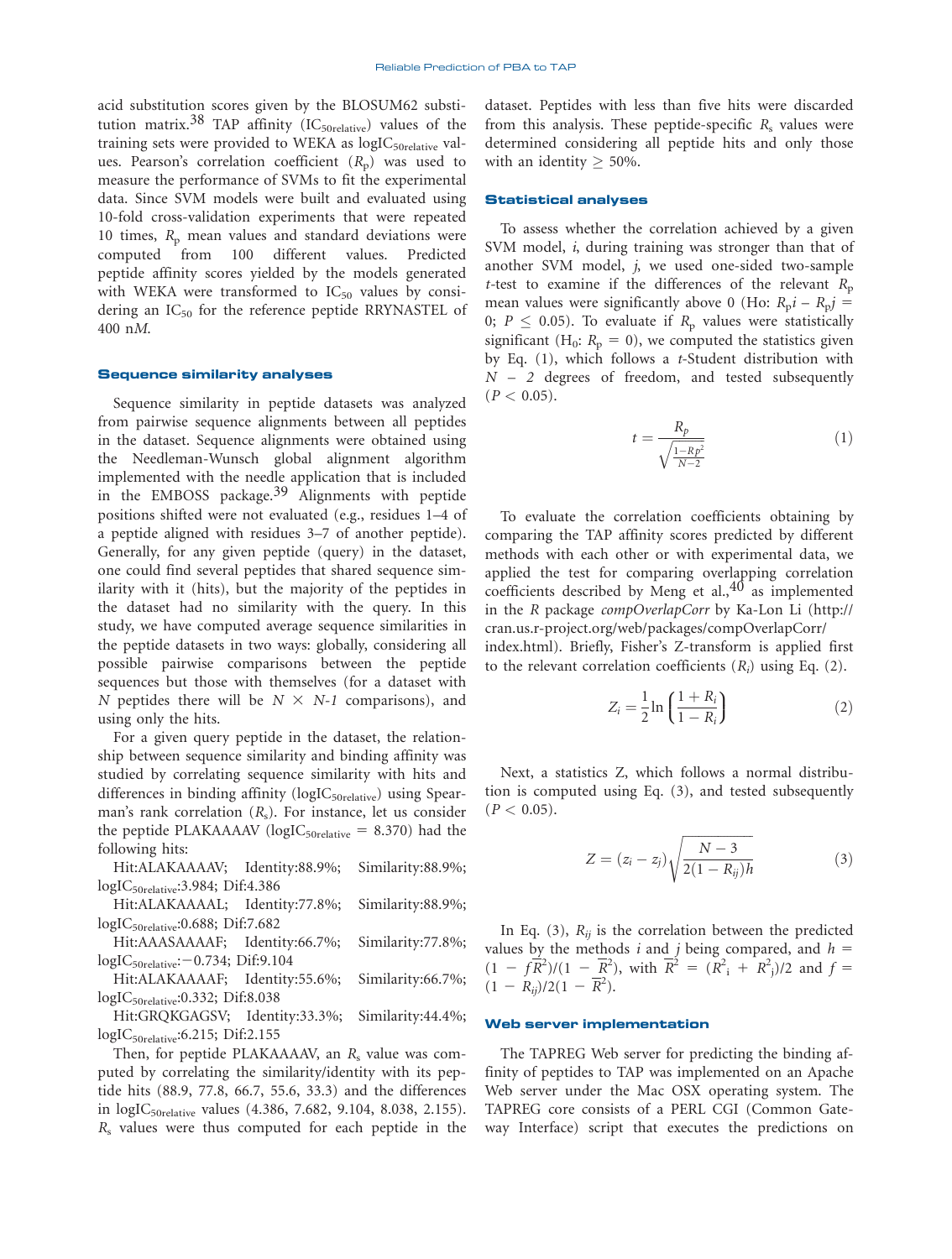acid substitution scores given by the BLOSUM62 substitution matrix.<sup>38</sup> TAP affinity (IC<sub>50relative</sub>) values of the training sets were provided to WEKA as logIC<sub>50relative</sub> values. Pearson's correlation coefficient  $(R_p)$  was used to measure the performance of SVMs to fit the experimental data. Since SVM models were built and evaluated using 10-fold cross-validation experiments that were repeated 10 times,  $R_p$  mean values and standard deviations were computed from 100 different values. Predicted peptide affinity scores yielded by the models generated with WEKA were transformed to  $IC_{50}$  values by considering an IC<sub>50</sub> for the reference peptide RRYNASTEL of 400 nM.

# Sequence similarity analyses

Sequence similarity in peptide datasets was analyzed from pairwise sequence alignments between all peptides in the dataset. Sequence alignments were obtained using the Needleman-Wunsch global alignment algorithm implemented with the needle application that is included in the EMBOSS package.<sup>39</sup> Alignments with peptide positions shifted were not evaluated (e.g., residues 1–4 of a peptide aligned with residues 3–7 of another peptide). Generally, for any given peptide (query) in the dataset, one could find several peptides that shared sequence similarity with it (hits), but the majority of the peptides in the dataset had no similarity with the query. In this study, we have computed average sequence similarities in the peptide datasets in two ways: globally, considering all possible pairwise comparisons between the peptide sequences but those with themselves (for a dataset with N peptides there will be  $N \times N-1$  comparisons), and using only the hits.

For a given query peptide in the dataset, the relationship between sequence similarity and binding affinity was studied by correlating sequence similarity with hits and differences in binding affinity (logIC<sub>50relative</sub>) using Spearman's rank correlation  $(R_s)$ . For instance, let us consider the peptide PLAKAAAAV ( $logIC_{50\text{relative}} = 8.370$ ) had the following hits:

Hit:ALAKAAAAV; Identity:88.9%; Similarity:88.9%; logIC50relative:3.984; Dif:4.386

Hit:ALAKAAAAL; Identity:77.8%; Similarity:88.9%; logIC50relative:0.688; Dif:7.682

Hit:AAASAAAAF; Identity:66.7%; Similarity:77.8%;  $logIC_{50\text{relative}}$ :  $-0.734$ ; Dif:9.104

Hit:ALAKAAAAF; Identity:55.6%; Similarity:66.7%; logIC50relative:0.332; Dif:8.038

Hit:GRQKGAGSV; Identity:33.3%; Similarity:44.4%; logIC50relative:6.215; Dif:2.155

Then, for peptide PLAKAAAAV, an  $R_s$  value was computed by correlating the similarity/identity with its peptide hits (88.9, 77.8, 66.7, 55.6, 33.3) and the differences in logIC<sub>50relative</sub> values (4.386, 7.682, 9.104, 8.038, 2.155).  $R<sub>s</sub>$  values were thus computed for each peptide in the dataset. Peptides with less than five hits were discarded from this analysis. These peptide-specific  $R_s$  values were determined considering all peptide hits and only those with an identity  $> 50\%$ .

### Statistical analyses

To assess whether the correlation achieved by a given SVM model, *i*, during training was stronger than that of another SVM model, j, we used one-sided two-sample t-test to examine if the differences of the relevant  $R_p$ mean values were significantly above 0 (Ho:  $R_p i - R_p j =$ 0;  $P \leq 0.05$ ). To evaluate if  $R_p$  values were statistically significant (H<sub>0</sub>:  $R_p = 0$ ), we computed the statistics given by Eq.  $(1)$ , which follows a *t*-Student distribution with  $N-2$  degrees of freedom, and tested subsequently  $(P < 0.05)$ .

$$
t = \frac{R_p}{\sqrt{\frac{1 - Rp^2}{N - 2}}}
$$
\n<sup>(1)</sup>

To evaluate the correlation coefficients obtaining by comparing the TAP affinity scores predicted by different methods with each other or with experimental data, we applied the test for comparing overlapping correlation coefficients described by Meng et al., $40$  as implemented in the R package compOverlapCorr by Ka-Lon Li (http:// cran.us.r-project.org/web/packages/compOverlapCorr/ index.html). Briefly, Fisher's Z-transform is applied first to the relevant correlation coefficients  $(R_i)$  using Eq. (2).

$$
Z_i = \frac{1}{2} \ln \left( \frac{1 + R_i}{1 - R_i} \right) \tag{2}
$$

Next, a statistics Z, which follows a normal distribution is computed using Eq. (3), and tested subsequently  $(P < 0.05)$ .

$$
Z = (z_i - z_j) \sqrt{\frac{N - 3}{2(1 - R_{ij})h}}
$$
 (3)

In Eq. (3),  $R_{ii}$  is the correlation between the predicted values by the methods i and j being compared, and  $h =$  $(1 - f\overline{R}^2)/(1 - \overline{R}^2)$ , with  $\overline{R}^2 = (R^2 + R^2)/2$  and  $f =$  $(1 - R_{ij})/2(1 - \overline{R}^2).$ 

# Web server implementation

The TAPREG Web server for predicting the binding affinity of peptides to TAP was implemented on an Apache Web server under the Mac OSX operating system. The TAPREG core consists of a PERL CGI (Common Gateway Interface) script that executes the predictions on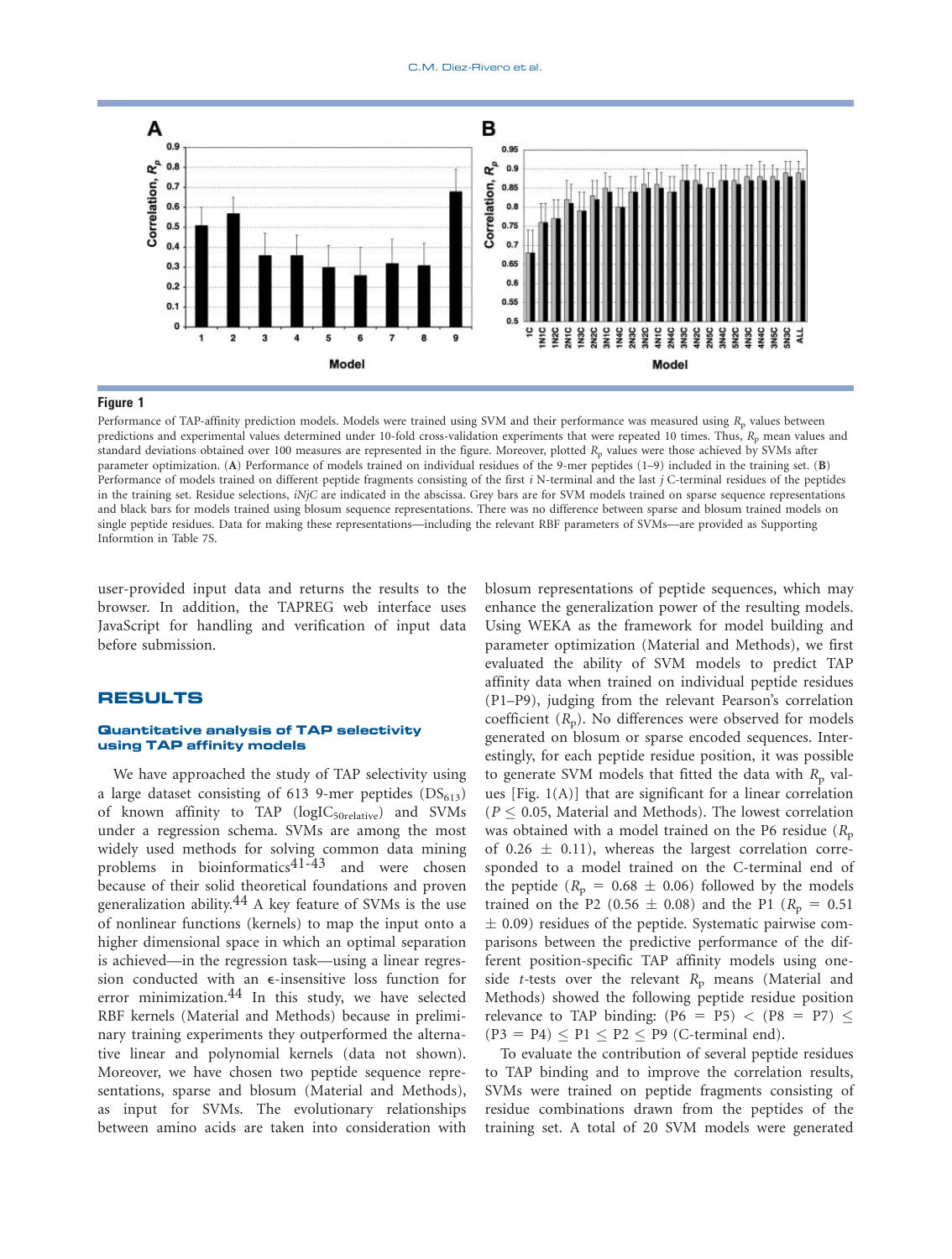

Performance of TAP-affinity prediction models. Models were trained using SVM and their performance was measured using R<sub>p</sub> values between predictions and experimental values determined under 10-fold cross-validation experiments that were repeated 10 times. Thus, R<sub>p</sub> mean values and standard deviations obtained over 100 measures are represented in the figure. Moreover, plotted  $R<sub>p</sub>$  values were those achieved by SVMs after parameter optimization. (A) Performance of models trained on individual residues of the 9-mer peptides (1–9) included in the training set. (B) Performance of models trained on different peptide fragments consisting of the first i N-terminal and the last j C-terminal residues of the peptides in the training set. Residue selections, iNjC are indicated in the abscissa. Grey bars are for SVM models trained on sparse sequence representations and black bars for models trained using blosum sequence representations. There was no difference between sparse and blosum trained models on single peptide residues. Data for making these representations—including the relevant RBF parameters of SVMs—are provided as Supporting Informtion in Table 7S.

user-provided input data and returns the results to the browser. In addition, the TAPREG web interface uses JavaScript for handling and verification of input data before submission.

# RESULTS

# Quantitative analysis of TAP selectivity using TAP affinity models

We have approached the study of TAP selectivity using a large dataset consisting of 613 9-mer peptides  $(DS_{613})$ of known affinity to TAP  $(logIC_{50relative})$  and SVMs under a regression schema. SVMs are among the most widely used methods for solving common data mining problems in bioinformatics<sup>41-43</sup> and were chosen because of their solid theoretical foundations and proven generalization ability.<sup>44</sup> A key feature of SVMs is the use of nonlinear functions (kernels) to map the input onto a higher dimensional space in which an optimal separation is achieved—in the regression task—using a linear regression conducted with an e-insensitive loss function for error minimization.44 In this study, we have selected RBF kernels (Material and Methods) because in preliminary training experiments they outperformed the alternative linear and polynomial kernels (data not shown). Moreover, we have chosen two peptide sequence representations, sparse and blosum (Material and Methods), as input for SVMs. The evolutionary relationships between amino acids are taken into consideration with blosum representations of peptide sequences, which may enhance the generalization power of the resulting models. Using WEKA as the framework for model building and parameter optimization (Material and Methods), we first evaluated the ability of SVM models to predict TAP affinity data when trained on individual peptide residues (P1–P9), judging from the relevant Pearson's correlation coefficient  $(R_p)$ . No differences were observed for models generated on blosum or sparse encoded sequences. Interestingly, for each peptide residue position, it was possible to generate SVM models that fitted the data with  $R<sub>p</sub>$  values  $[Fig. 1(A)]$  that are significant for a linear correlation  $(P < 0.05$ , Material and Methods). The lowest correlation was obtained with a model trained on the P6 residue  $(R_p)$ of  $0.26 \pm 0.11$ ), whereas the largest correlation corresponded to a model trained on the C-terminal end of the peptide ( $R_p = 0.68 \pm 0.06$ ) followed by the models trained on the P2 (0.56  $\pm$  0.08) and the P1 ( $R_p = 0.51$  $\pm$  0.09) residues of the peptide. Systematic pairwise comparisons between the predictive performance of the different position-specific TAP affinity models using oneside t-tests over the relevant  $R_p$  means (Material and Methods) showed the following peptide residue position relevance to TAP binding:  $(P6 = P5) < (P8 = P7) \le$  $(P3 = P4) \leq P1 \leq P2 \leq P9$  (C-terminal end).

To evaluate the contribution of several peptide residues to TAP binding and to improve the correlation results, SVMs were trained on peptide fragments consisting of residue combinations drawn from the peptides of the training set. A total of 20 SVM models were generated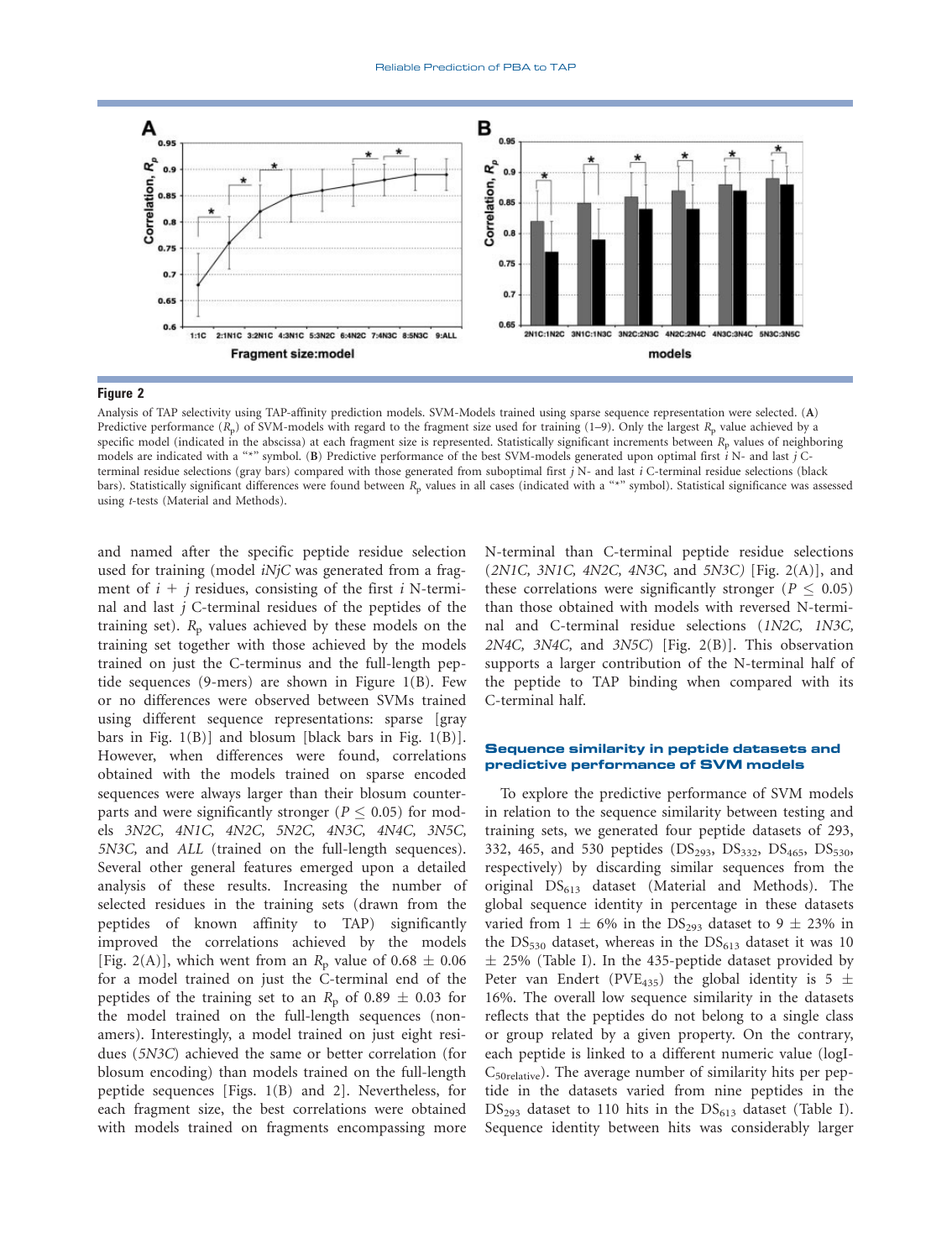

Figure 2 Analysis of TAP selectivity using TAP-affinity prediction models. SVM-Models trained using sparse sequence representation were selected. (A) Predictive performance  $(R_p)$  of SVM-models with regard to the fragment size used for training (1–9). Only the largest  $R_p$  value achieved by a specific model (indicated in the abscissa) at each fragment size is represented. Statistically significant increments between  $R_p$  values of neighboring models are indicated with a "\*" symbol. (B) Predictive performance of the best SVM-models generated upon optimal first  $i$  N- and last  $j$  Cterminal residue selections (gray bars) compared with those generated from suboptimal first  $j$  N- and last  $i$  C-terminal residue selections (black bars). Statistically significant differences were found between R<sub>p</sub> values in all cases (indicated with a "\*" symbol). Statistical significance was assessed using t-tests (Material and Methods).

and named after the specific peptide residue selection used for training (model *iNjC* was generated from a fragment of  $i + j$  residues, consisting of the first i N-terminal and last  $j$  C-terminal residues of the peptides of the training set).  $R<sub>p</sub>$  values achieved by these models on the training set together with those achieved by the models trained on just the C-terminus and the full-length peptide sequences (9-mers) are shown in Figure 1(B). Few or no differences were observed between SVMs trained using different sequence representations: sparse [gray bars in Fig.  $1(B)$ ] and blosum [black bars in Fig.  $1(B)$ ]. However, when differences were found, correlations obtained with the models trained on sparse encoded sequences were always larger than their blosum counterparts and were significantly stronger ( $P \le 0.05$ ) for models 3N2C, 4N1C, 4N2C, 5N2C, 4N3C, 4N4C, 3N5C, 5N3C, and ALL (trained on the full-length sequences). Several other general features emerged upon a detailed analysis of these results. Increasing the number of selected residues in the training sets (drawn from the peptides of known affinity to TAP) significantly improved the correlations achieved by the models [Fig. 2(A)], which went from an  $R_p$  value of 0.68  $\pm$  0.06 for a model trained on just the C-terminal end of the peptides of the training set to an  $R_p$  of 0.89  $\pm$  0.03 for the model trained on the full-length sequences (nonamers). Interestingly, a model trained on just eight residues (5N3C) achieved the same or better correlation (for blosum encoding) than models trained on the full-length peptide sequences [Figs. 1(B) and 2]. Nevertheless, for each fragment size, the best correlations were obtained with models trained on fragments encompassing more

N-terminal than C-terminal peptide residue selections  $(2NIC, 3NIC, 4N2C, 4N3C, and 5N3C)$  [Fig. 2(A)], and these correlations were significantly stronger ( $P \leq 0.05$ ) than those obtained with models with reversed N-terminal and C-terminal residue selections (1N2C, 1N3C, 2N4C, 3N4C, and 3N5C) [Fig. 2(B)]. This observation supports a larger contribution of the N-terminal half of the peptide to TAP binding when compared with its C-terminal half.

### Sequence similarity in peptide datasets and predictive performance of SVM models

To explore the predictive performance of SVM models in relation to the sequence similarity between testing and training sets, we generated four peptide datasets of 293, 332, 465, and 530 peptides ( $DS<sub>293</sub>$ ,  $DS<sub>332</sub>$ ,  $DS<sub>465</sub>$ ,  $DS<sub>530</sub>$ , respectively) by discarding similar sequences from the original  $DS_{613}$  dataset (Material and Methods). The global sequence identity in percentage in these datasets varied from  $1 \pm 6\%$  in the DS<sub>293</sub> dataset to  $9 \pm 23\%$  in the  $DS_{530}$  dataset, whereas in the  $DS_{613}$  dataset it was 10  $\pm$  25% (Table I). In the 435-peptide dataset provided by Peter van Endert (PVE<sub>435</sub>) the global identity is 5  $\pm$ 16%. The overall low sequence similarity in the datasets reflects that the peptides do not belong to a single class or group related by a given property. On the contrary, each peptide is linked to a different numeric value (logI-C50relative). The average number of similarity hits per peptide in the datasets varied from nine peptides in the  $DS<sub>293</sub>$  dataset to 110 hits in the  $DS<sub>613</sub>$  dataset (Table I). Sequence identity between hits was considerably larger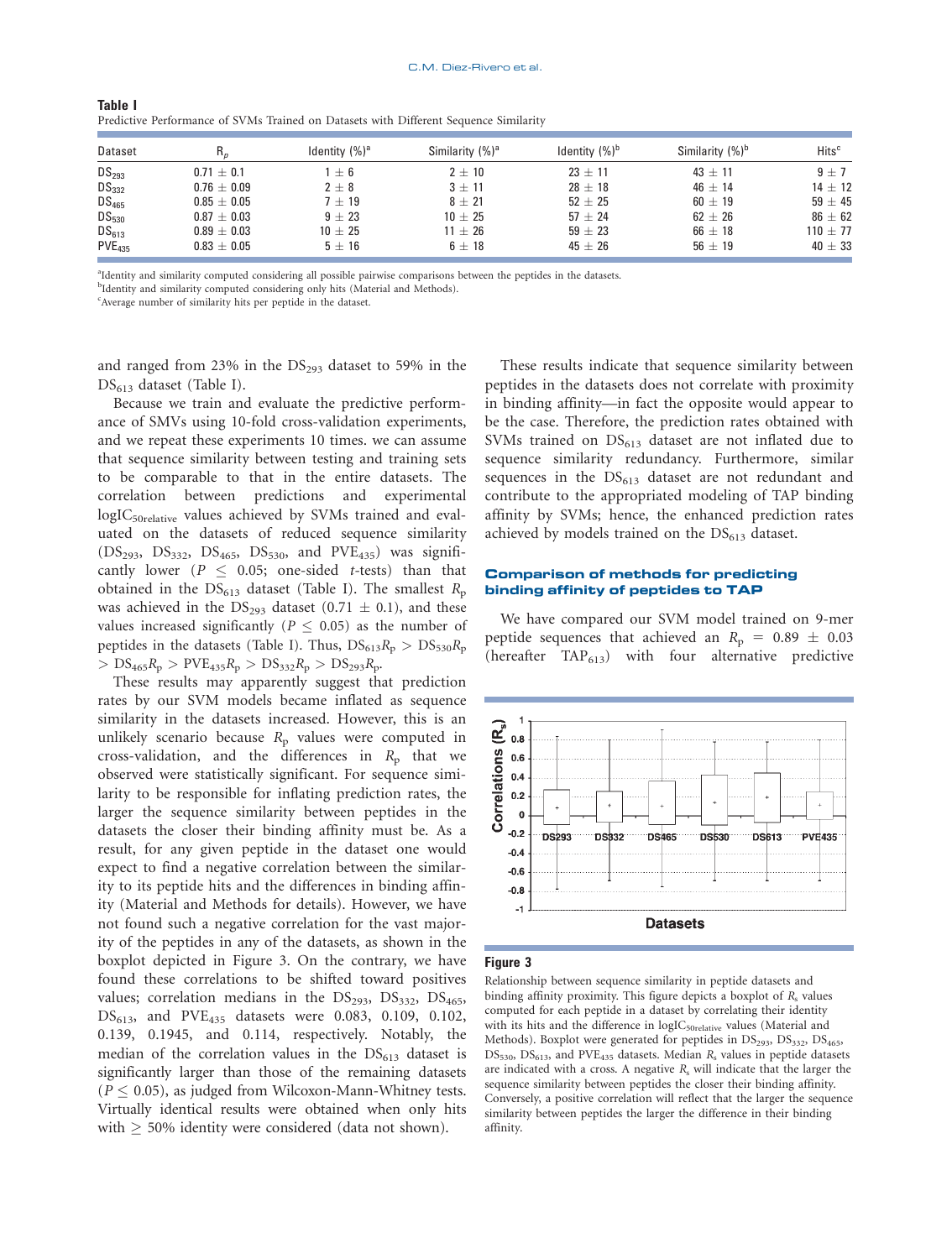| Dataset            | R,              | Identity $(\%)^a$ | Similarity (%) <sup>a</sup> | Identity $(\%)^b$ | Similarity $(\%)^b$ | Hits <sup>c</sup> |
|--------------------|-----------------|-------------------|-----------------------------|-------------------|---------------------|-------------------|
| DS <sub>293</sub>  | $0.71 \pm 0.1$  | $+6$              | $2 \pm 10$                  | $23 \pm 11$       | $43 \pm 11$         | $9 + 7$           |
| $DS_{332}$         | $0.76 \pm 0.09$ | $2 \pm 8$         | $3 \pm 11$                  | $28 \pm 18$       | $46 + 14$           | $14 \pm 12$       |
| DS <sub>465</sub>  | $0.85 + 0.05$   | $7 + 19$          | $8 \pm 21$                  | $52 \pm 25$       | $60 \pm 19$         | 59 $\pm$ 45       |
| $DS_{530}$         | $0.87 \pm 0.03$ | $9 + 23$          | $10 \pm 25$                 | $57 + 24$         | $62 + 26$           | $86 \pm 62$       |
| $DS_{613}$         | $0.89 \pm 0.03$ | $10 \pm 25$       | $11 \pm 26$                 | $59 \pm 23$       | $66 \pm 18$         | $110 \pm 77$      |
| PVE <sub>435</sub> | $0.83 \pm 0.05$ | $5 \pm 16$        | $6 \pm 18$                  | $45 \pm 26$       | $56 \pm 19$         | $40 \pm 33$       |

That's Truster<br>Predictive Performance of SVMs Trained on Datasets with Different Sequence Similarity

a Identity and similarity computed considering all possible pairwise comparisons between the peptides in the datasets.

<sup>b</sup>Identity and similarity computed considering only hits (Material and Methods).

c Average number of similarity hits per peptide in the dataset.

and ranged from 23% in the  $DS<sub>293</sub>$  dataset to 59% in the  $DS_{613}$  dataset (Table I).

Because we train and evaluate the predictive performance of SMVs using 10-fold cross-validation experiments, and we repeat these experiments 10 times. we can assume that sequence similarity between testing and training sets to be comparable to that in the entire datasets. The correlation between predictions and experimental logIC<sub>50relative</sub> values achieved by SVMs trained and evaluated on the datasets of reduced sequence similarity  $(DS_{293}, DS_{332}, DS_{465}, DS_{530}, and PVE_{435})$  was significantly lower ( $P \le 0.05$ ; one-sided t-tests) than that obtained in the  $DS_{613}$  dataset (Table I). The smallest  $R_p$ was achieved in the  $DS<sub>293</sub>$  dataset  $(0.71 \pm 0.1)$ , and these values increased significantly ( $P \leq 0.05$ ) as the number of peptides in the datasets (Table I). Thus,  $DS_{613}R_p > DS_{530}R_p$  $> DS_{465}R_p > PVE_{435}R_p > DS_{332}R_p > DS_{293}R_p.$ 

These results may apparently suggest that prediction rates by our SVM models became inflated as sequence similarity in the datasets increased. However, this is an unlikely scenario because  $R_p$  values were computed in cross-validation, and the differences in  $R_p$  that we observed were statistically significant. For sequence similarity to be responsible for inflating prediction rates, the larger the sequence similarity between peptides in the datasets the closer their binding affinity must be. As a result, for any given peptide in the dataset one would expect to find a negative correlation between the similarity to its peptide hits and the differences in binding affinity (Material and Methods for details). However, we have not found such a negative correlation for the vast majority of the peptides in any of the datasets, as shown in the boxplot depicted in Figure 3. On the contrary, we have found these correlations to be shifted toward positives values; correlation medians in the  $DS_{293}$ ,  $DS_{332}$ ,  $DS_{465}$ ,  $DS_{613}$ , and  $PVE_{435}$  datasets were 0.083, 0.109, 0.102, 0.139, 0.1945, and 0.114, respectively. Notably, the median of the correlation values in the  $DS<sub>613</sub>$  dataset is significantly larger than those of the remaining datasets  $(P < 0.05)$ , as judged from Wilcoxon-Mann-Whitney tests. Virtually identical results were obtained when only hits with  $> 50\%$  identity were considered (data not shown).

These results indicate that sequence similarity between peptides in the datasets does not correlate with proximity in binding affinity—in fact the opposite would appear to be the case. Therefore, the prediction rates obtained with SVMs trained on  $DS<sub>613</sub>$  dataset are not inflated due to sequence similarity redundancy. Furthermore, similar sequences in the  $DS<sub>613</sub>$  dataset are not redundant and contribute to the appropriated modeling of TAP binding affinity by SVMs; hence, the enhanced prediction rates achieved by models trained on the  $DS<sub>613</sub>$  dataset.

# Comparison of methods for predicting binding affinity of peptides to TAP

We have compared our SVM model trained on 9-mer peptide sequences that achieved an  $R_p = 0.89 \pm 0.03$ (hereafter  $TAP_{613}$ ) with four alternative predictive



**S**<br>Relationship between sequence similarity in peptide datasets and binding affinity proximity. This figure depicts a boxplot of  $R_s$  values computed for each peptide in a dataset by correlating their identity with its hits and the difference in  $\rm logIC_{50}$ <sub>relative</sub> values (Material and Methods). Boxplot were generated for peptides in  $DS<sub>293</sub>$ ,  $DS<sub>332</sub>$ ,  $DS<sub>465</sub>$ ,  $DS_{530}$ ,  $DS_{613}$ , and  $PVE_{435}$  datasets. Median  $R_s$  values in peptide datasets are indicated with a cross. A negative  $R_s$  will indicate that the larger the sequence similarity between peptides the closer their binding affinity. Conversely, a positive correlation will reflect that the larger the sequence similarity between peptides the larger the difference in their binding affinity.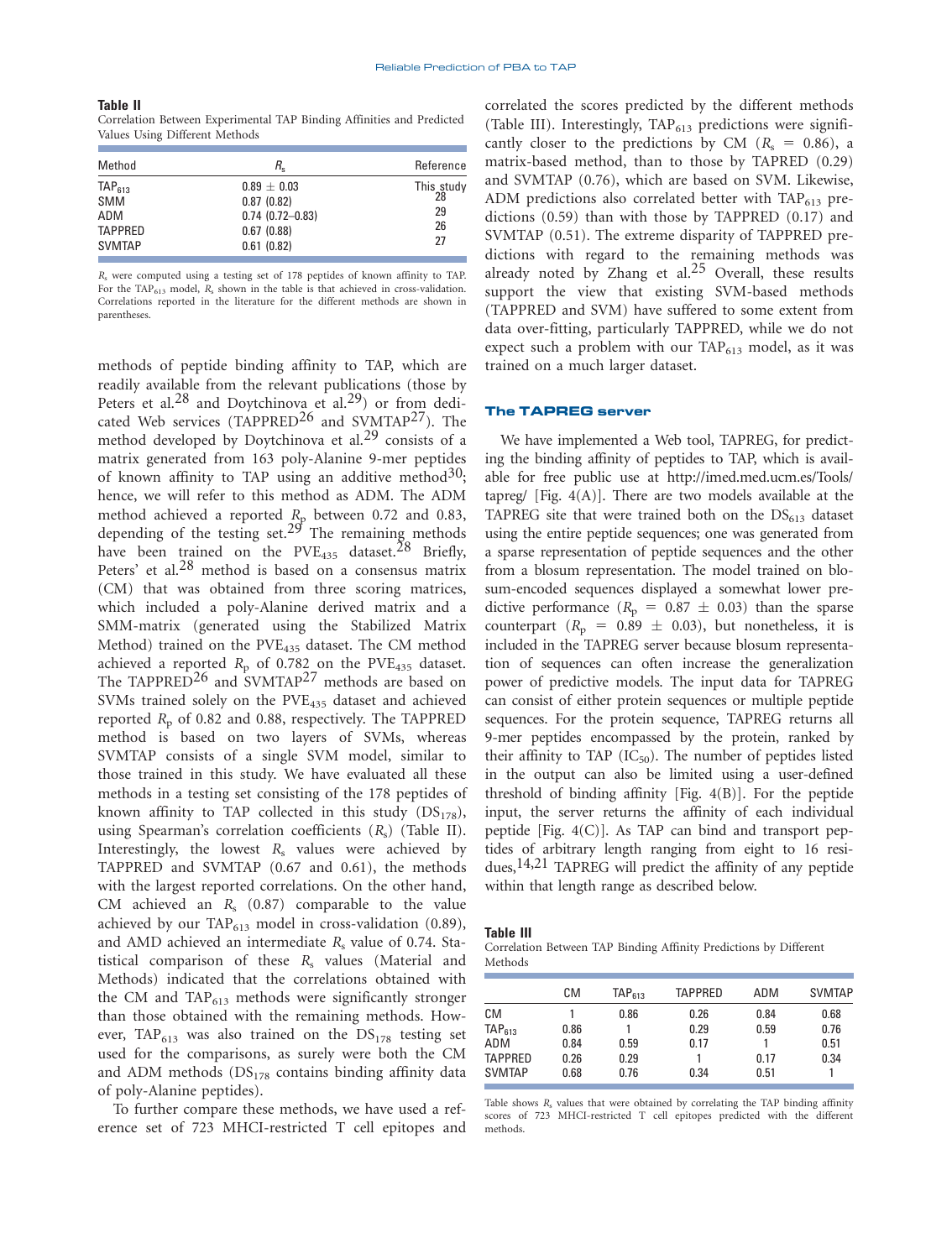### **Table II** Later II Values Using Different Methods

| Method                                                                     | R.                                                                                  | Reference                          |
|----------------------------------------------------------------------------|-------------------------------------------------------------------------------------|------------------------------------|
| TAP <sub>613</sub><br><b>SMM</b><br>ADM<br><b>TAPPRED</b><br><b>SVMTAP</b> | $0.89 \pm 0.03$<br>0.87(0.82)<br>$0.74$ $(0.72 - 0.83)$<br>0.67(0.88)<br>0.61(0.82) | This study<br>28<br>29<br>26<br>27 |

R<sup>s</sup> were computed using a testing set of 178 peptides of known affinity to TAP. For the TAP<sub>613</sub> model,  $R_s$  shown in the table is that achieved in cross-validation. Correlations reported in the literature for the different methods are shown in parentheses.

methods of peptide binding affinity to TAP, which are readily available from the relevant publications (those by Peters et al.28 and Doytchinova et al.29) or from dedicated Web services (TAPPRED<sup>26</sup> and SVMTAP<sup>27</sup>). The method developed by Doytchinova et al.<sup>29</sup> consists of a matrix generated from 163 poly-Alanine 9-mer peptides of known affinity to TAP using an additive method<sup>30</sup>; hence, we will refer to this method as ADM. The ADM method achieved a reported  $R_p$  between 0.72 and 0.83, depending of the testing set.<sup>29</sup> The remaining methods have been trained on the PVE<sub>435</sub> dataset.<sup>28</sup> Briefly, Peters' et al.<sup>28</sup> method is based on a consensus matrix (CM) that was obtained from three scoring matrices, which included a poly-Alanine derived matrix and a SMM-matrix (generated using the Stabilized Matrix Method) trained on the PVE<sub>435</sub> dataset. The CM method achieved a reported  $R_{\rm p}$  of 0.782 on the PVE<sub>435</sub> dataset. The TAPPRED<sup>26</sup> and SVMTAP<sup>27</sup> methods are based on SVMs trained solely on the PVE<sub>435</sub> dataset and achieved reported  $R_p$  of 0.82 and 0.88, respectively. The TAPPRED method is based on two layers of SVMs, whereas SVMTAP consists of a single SVM model, similar to those trained in this study. We have evaluated all these methods in a testing set consisting of the 178 peptides of known affinity to TAP collected in this study  $(DS_{178})$ , using Spearman's correlation coefficients  $(R_s)$  (Table II). Interestingly, the lowest  $R_s$  values were achieved by TAPPRED and SVMTAP (0.67 and 0.61), the methods with the largest reported correlations. On the other hand, CM achieved an  $R_s$  (0.87) comparable to the value achieved by our TAP $_{613}$  model in cross-validation (0.89), and AMD achieved an intermediate  $R_s$  value of 0.74. Statistical comparison of these  $R_s$  values (Material and Methods) indicated that the correlations obtained with the CM and  $TAP_{613}$  methods were significantly stronger than those obtained with the remaining methods. However, TAP<sub>613</sub> was also trained on the  $DS<sub>178</sub>$  testing set used for the comparisons, as surely were both the CM and ADM methods  $(DS<sub>178</sub>$  contains binding affinity data of poly-Alanine peptides).

To further compare these methods, we have used a reference set of 723 MHCI-restricted T cell epitopes and correlated the scores predicted by the different methods (Table III). Interestingly,  $TAP<sub>613</sub>$  predictions were significantly closer to the predictions by CM ( $R_s = 0.86$ ), a matrix-based method, than to those by TAPRED (0.29) and SVMTAP (0.76), which are based on SVM. Likewise, ADM predictions also correlated better with  $TAP_{613}$  predictions (0.59) than with those by TAPPRED (0.17) and SVMTAP (0.51). The extreme disparity of TAPPRED predictions with regard to the remaining methods was already noted by Zhang et al.<sup>25</sup> Overall, these results support the view that existing SVM-based methods (TAPPRED and SVM) have suffered to some extent from data over-fitting, particularly TAPPRED, while we do not expect such a problem with our  $TAP_{613}$  model, as it was trained on a much larger dataset.

### The TAPREG server

We have implemented a Web tool, TAPREG, for predicting the binding affinity of peptides to TAP, which is available for free public use at http://imed.med.ucm.es/Tools/ tapreg/ [Fig.  $4(A)$ ]. There are two models available at the TAPREG site that were trained both on the  $DS<sub>613</sub>$  dataset using the entire peptide sequences; one was generated from a sparse representation of peptide sequences and the other from a blosum representation. The model trained on blosum-encoded sequences displayed a somewhat lower predictive performance ( $R_p = 0.87 \pm 0.03$ ) than the sparse counterpart  $(R_p = 0.89 \pm 0.03)$ , but nonetheless, it is included in the TAPREG server because blosum representation of sequences can often increase the generalization power of predictive models. The input data for TAPREG can consist of either protein sequences or multiple peptide sequences. For the protein sequence, TAPREG returns all 9-mer peptides encompassed by the protein, ranked by their affinity to TAP  $(IC_{50})$ . The number of peptides listed in the output can also be limited using a user-defined threshold of binding affinity [Fig. 4(B)]. For the peptide input, the server returns the affinity of each individual peptide [Fig. 4(C)]. As TAP can bind and transport peptides of arbitrary length ranging from eight to 16 residues,  $14,21$  TAPREG will predict the affinity of any peptide within that length range as described below.

### **Table III**

Table III<br>Correlation Between TAP Binding Affinity Predictions by Different Methods

|                    | CМ   | TAP <sub>613</sub> | <b>TAPPRED</b> | ADM  | <b>SVMTAP</b> |
|--------------------|------|--------------------|----------------|------|---------------|
| CМ                 |      | 0.86               | 0.26           | 0.84 | 0.68          |
| TAP <sub>613</sub> | 0.86 |                    | 0.29           | 0.59 | 0.76          |
| ADM                | 0.84 | 0.59               | 0.17           |      | 0.51          |
| <b>TAPPRED</b>     | 0.26 | 0.29               |                | 0.17 | 0.34          |
| <b>SVMTAP</b>      | 0.68 | 0.76               | 0.34           | 0.51 |               |
|                    |      |                    |                |      |               |

Table shows  $R_s$  values that were obtained by correlating the TAP binding affinity scores of 723 MHCI-restricted T cell epitopes predicted with the different methods.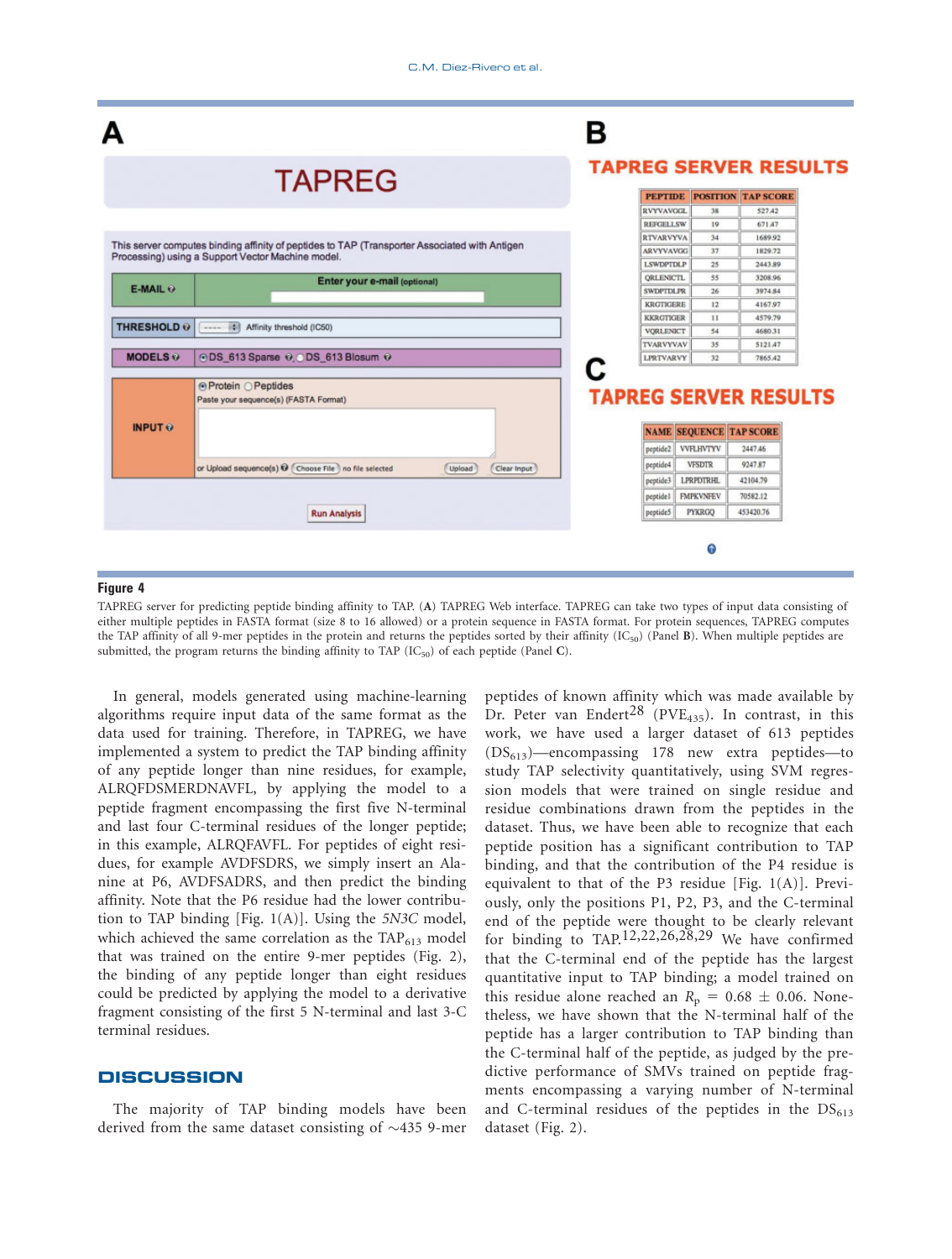

Figure 4 TAPREG server for predicting peptide binding affinity to TAP. (A) TAPREG Web interface. TAPREG can take two types of input data consisting of either multiple peptides in FASTA format (size 8 to 16 allowed) or a protein sequence in FASTA format. For protein sequences, TAPREG computes the TAP affinity of all 9-mer peptides in the protein and returns the peptides sorted by their affinity  $(IC_{50})$  (Panel B). When multiple peptides are submitted, the program returns the binding affinity to TAP  $(IC_{50})$  of each peptide (Panel C).

In general, models generated using machine-learning algorithms require input data of the same format as the data used for training. Therefore, in TAPREG, we have implemented a system to predict the TAP binding affinity of any peptide longer than nine residues, for example, ALRQFDSMERDNAVFL, by applying the model to a peptide fragment encompassing the first five N-terminal and last four C-terminal residues of the longer peptide; in this example, ALRQFAVFL. For peptides of eight residues, for example AVDFSDRS, we simply insert an Alanine at P6, AVDFSADRS, and then predict the binding affinity. Note that the P6 residue had the lower contribution to TAP binding [Fig. 1(A)]. Using the 5N3C model, which achieved the same correlation as the  $TAP_{613}$  model that was trained on the entire 9-mer peptides (Fig. 2), the binding of any peptide longer than eight residues could be predicted by applying the model to a derivative fragment consisting of the first 5 N-terminal and last 3-C terminal residues.

# **DISCUSSION**

The majority of TAP binding models have been derived from the same dataset consisting of  $\sim$ 435 9-mer peptides of known affinity which was made available by Dr. Peter van Endert<sup>28</sup> (PVE<sub>435</sub>). In contrast, in this work, we have used a larger dataset of 613 peptides  $(DS_{613})$ —encompassing 178 new extra peptides—to study TAP selectivity quantitatively, using SVM regression models that were trained on single residue and residue combinations drawn from the peptides in the dataset. Thus, we have been able to recognize that each peptide position has a significant contribution to TAP binding, and that the contribution of the P4 residue is equivalent to that of the P3 residue [Fig. 1(A)]. Previously, only the positions P1, P2, P3, and the C-terminal end of the peptide were thought to be clearly relevant for binding to TAP.<sup>12,22,26,28,29</sup> We have confirmed that the C-terminal end of the peptide has the largest quantitative input to TAP binding; a model trained on this residue alone reached an  $R_p = 0.68 \pm 0.06$ . Nonetheless, we have shown that the N-terminal half of the peptide has a larger contribution to TAP binding than the C-terminal half of the peptide, as judged by the predictive performance of SMVs trained on peptide fragments encompassing a varying number of N-terminal and C-terminal residues of the peptides in the  $DS<sub>613</sub>$ dataset (Fig. 2).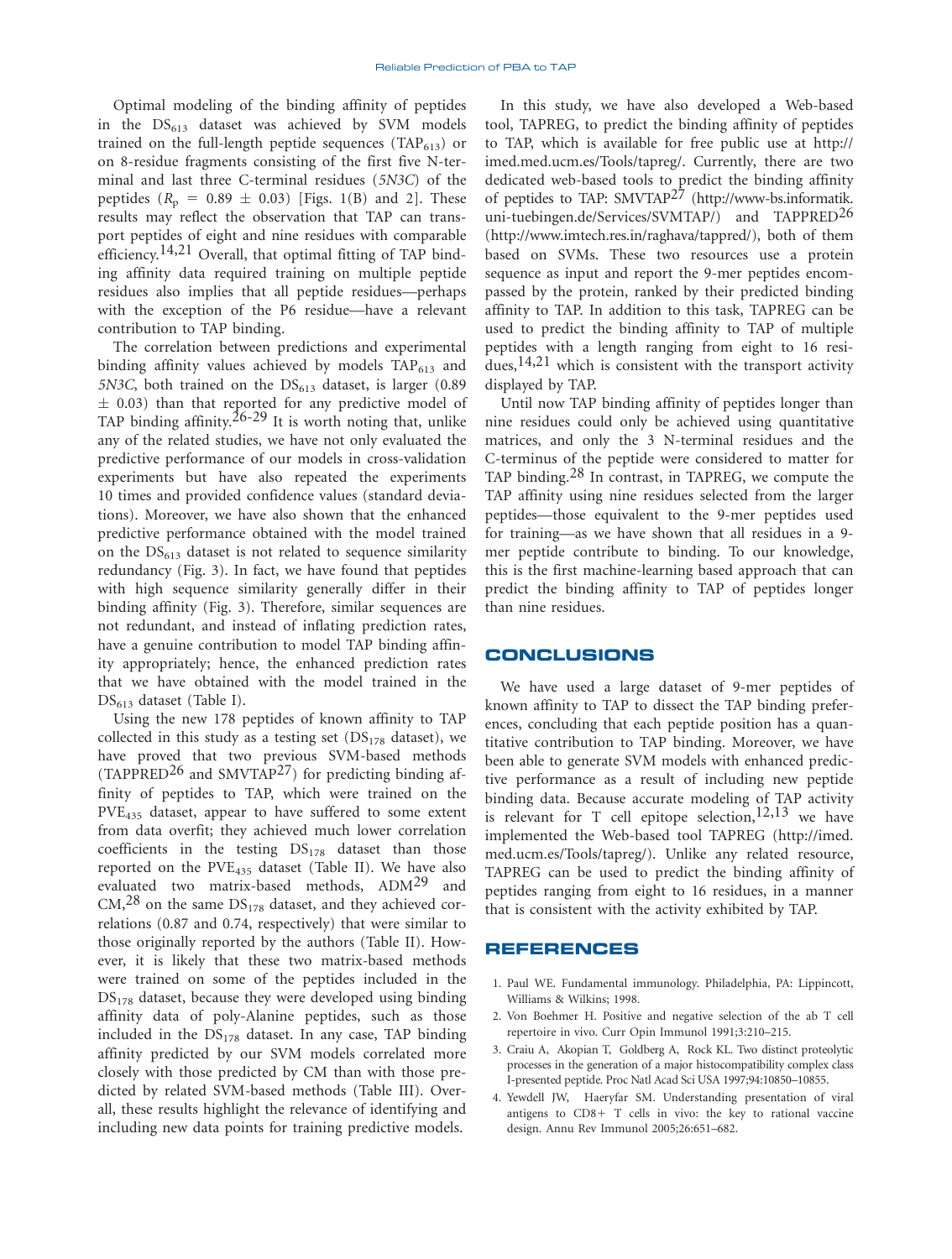Optimal modeling of the binding affinity of peptides in the  $DS<sub>613</sub>$  dataset was achieved by SVM models trained on the full-length peptide sequences (TAP $_{613}$ ) or on 8-residue fragments consisting of the first five N-terminal and last three C-terminal residues (5N3C) of the peptides  $(R_p = 0.89 \pm 0.03)$  [Figs. 1(B) and 2]. These results may reflect the observation that TAP can transport peptides of eight and nine residues with comparable efficiency.<sup>14,21</sup> Overall, that optimal fitting of TAP binding affinity data required training on multiple peptide residues also implies that all peptide residues—perhaps with the exception of the P6 residue—have a relevant contribution to TAP binding.

The correlation between predictions and experimental binding affinity values achieved by models  $TAP_{613}$  and 5N3C, both trained on the  $DS<sub>613</sub>$  dataset, is larger (0.89)  $\pm$  0.03) than that reported for any predictive model of TAP binding affinity.<sup>26-29</sup> It is worth noting that, unlike any of the related studies, we have not only evaluated the predictive performance of our models in cross-validation experiments but have also repeated the experiments 10 times and provided confidence values (standard deviations). Moreover, we have also shown that the enhanced predictive performance obtained with the model trained on the  $DS_{613}$  dataset is not related to sequence similarity redundancy (Fig. 3). In fact, we have found that peptides with high sequence similarity generally differ in their binding affinity (Fig. 3). Therefore, similar sequences are not redundant, and instead of inflating prediction rates, have a genuine contribution to model TAP binding affinity appropriately; hence, the enhanced prediction rates that we have obtained with the model trained in the  $DS_{613}$  dataset (Table I).

Using the new 178 peptides of known affinity to TAP collected in this study as a testing set  $\left(DS_{178}$  dataset), we have proved that two previous SVM-based methods (TAPPRED<sup>26</sup> and SMVTAP<sup>27</sup>) for predicting binding affinity of peptides to TAP, which were trained on the PVE<sub>435</sub> dataset, appear to have suffered to some extent from data overfit; they achieved much lower correlation coefficients in the testing  $DS<sub>178</sub>$  dataset than those reported on the  $PVE_{435}$  dataset (Table II). We have also evaluated two matrix-based methods, ADM<sup>29</sup> and  $CM<sub>1</sub><sup>28</sup>$  on the same  $DS<sub>178</sub>$  dataset, and they achieved correlations (0.87 and 0.74, respectively) that were similar to those originally reported by the authors (Table II). However, it is likely that these two matrix-based methods were trained on some of the peptides included in the  $DS<sub>178</sub>$  dataset, because they were developed using binding affinity data of poly-Alanine peptides, such as those included in the  $DS<sub>178</sub>$  dataset. In any case, TAP binding affinity predicted by our SVM models correlated more closely with those predicted by CM than with those predicted by related SVM-based methods (Table III). Overall, these results highlight the relevance of identifying and including new data points for training predictive models.

In this study, we have also developed a Web-based tool, TAPREG, to predict the binding affinity of peptides to TAP, which is available for free public use at http:// imed.med.ucm.es/Tools/tapreg/. Currently, there are two dedicated web-based tools to predict the binding affinity of peptides to TAP: SMVTAP<sup>27</sup> (http://www-bs.informatik. uni-tuebingen.de/Services/SVMTAP/) and TAPPRED<sup>26</sup> (http://www.imtech.res.in/raghava/tappred/), both of them based on SVMs. These two resources use a protein sequence as input and report the 9-mer peptides encompassed by the protein, ranked by their predicted binding affinity to TAP. In addition to this task, TAPREG can be used to predict the binding affinity to TAP of multiple peptides with a length ranging from eight to 16 residues,  $14,21$  which is consistent with the transport activity displayed by TAP.

Until now TAP binding affinity of peptides longer than nine residues could only be achieved using quantitative matrices, and only the 3 N-terminal residues and the C-terminus of the peptide were considered to matter for TAP binding.28 In contrast, in TAPREG, we compute the TAP affinity using nine residues selected from the larger peptides—those equivalent to the 9-mer peptides used for training—as we have shown that all residues in a 9 mer peptide contribute to binding. To our knowledge, this is the first machine-learning based approach that can predict the binding affinity to TAP of peptides longer than nine residues.

# CONCLUSIONS

We have used a large dataset of 9-mer peptides of known affinity to TAP to dissect the TAP binding preferences, concluding that each peptide position has a quantitative contribution to TAP binding. Moreover, we have been able to generate SVM models with enhanced predictive performance as a result of including new peptide binding data. Because accurate modeling of TAP activity is relevant for T cell epitope selection,  $12,13$  we have implemented the Web-based tool TAPREG (http://imed. med.ucm.es/Tools/tapreg/). Unlike any related resource, TAPREG can be used to predict the binding affinity of peptides ranging from eight to 16 residues, in a manner that is consistent with the activity exhibited by TAP.

### REFERENCES

- 1. Paul WE. Fundamental immunology. Philadelphia, PA: Lippincott, Williams & Wilkins; 1998.
- 2. Von Boehmer H. Positive and negative selection of the ab T cell repertoire in vivo. Curr Opin Immunol 1991;3:210–215.
- 3. Craiu A, Akopian T, Goldberg A, Rock KL. Two distinct proteolytic processes in the generation of a major histocompatibility complex class I-presented peptide. Proc Natl Acad Sci USA 1997;94:10850–10855.
- 4. Yewdell JW, Haeryfar SM. Understanding presentation of viral antigens to  $CD8+T$  cells in vivo: the key to rational vaccine design. Annu Rev Immunol 2005;26:651–682.